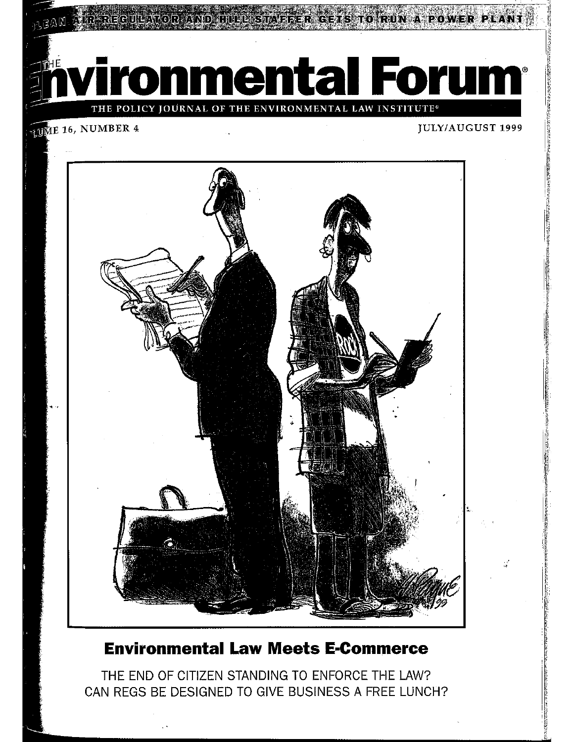RIGETS TO RUN A POWER

ronmental Forum<sup>®</sup>

POLICY JOURNAL OF THE ENVIRONMENTAL LAW INSTITUTE®

### **JUME 16, NUMBER 4**

### **JULY/AUGUST 1999**



## **Environmental Law Meets E-Commerce**

THE END OF CITIZEN STANDING TO ENFORCE THE LAW? CAN REGS BE DESIGNED TO GIVE BUSINESS A FREE LUNCH?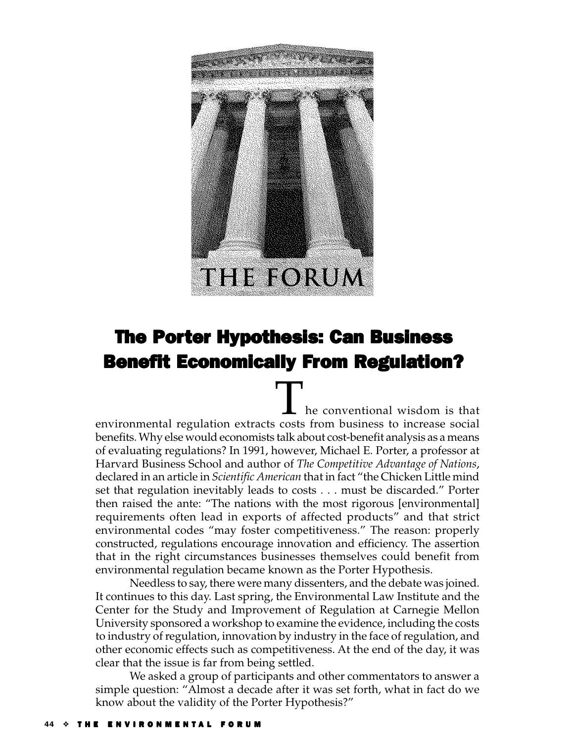

## The Porter Hypothesis: Can Business **Benefit Economically From Regulation?**

The conventional wisdom is that environmental regulation extracts costs from business to increase social benefits. Why else would economists talk about cost-benefit analysis as a means of evaluating regulations? In 1991, however, Michael E. Porter, a professor at Harvard Business School and author of *The Competitive Advantage of Nations*, declared in an article in *Scientific American* that in fact "the Chicken Little mind set that regulation inevitably leads to costs . . . must be discarded." Porter then raised the ante: "The nations with the most rigorous [environmental] requirements often lead in exports of affected products" and that strict environmental codes "may foster competitiveness." The reason: properly constructed, regulations encourage innovation and efficiency. The assertion that in the right circumstances businesses themselves could benefit from environmental regulation became known as the Porter Hypothesis.

Needless to say, there were many dissenters, and the debate was joined. It continues to this day. Last spring, the Environmental Law Institute and the Center for the Study and Improvement of Regulation at Carnegie Mellon University sponsored a workshop to examine the evidence, including the costs to industry of regulation, innovation by industry in the face of regulation, and other economic effects such as competitiveness. At the end of the day, it was clear that the issue is far from being settled.

We asked a group of participants and other commentators to answer a simple question: "Almost a decade after it was set forth, what in fact do we know about the validity of the Porter Hypothesis?"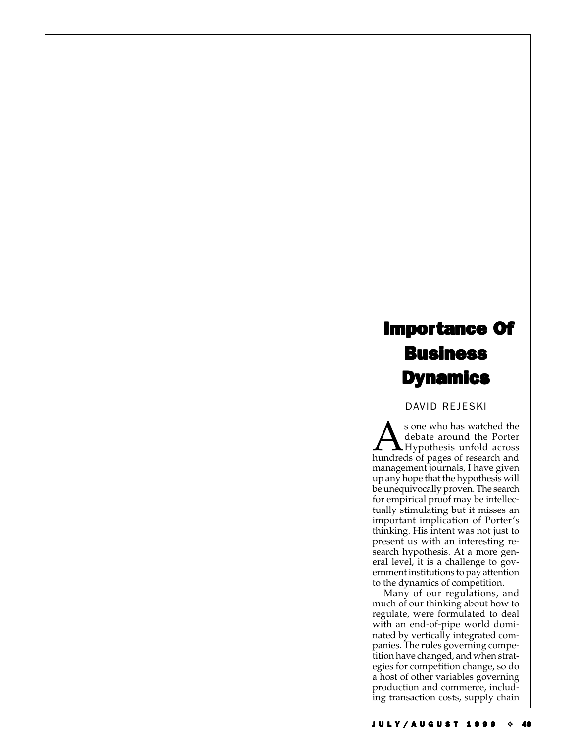# **Importance Of Business Dynamics**

#### DAVID REJESKI

Sone who has watched the<br>debate around the Porter<br>hundreds of pages of research and debate around the Porter hundreds of pages of research and management journals, I have given up any hope that the hypothesis will be unequivocally proven. The search for empirical proof may be intellectually stimulating but it misses an important implication of Porter's thinking. His intent was not just to present us with an interesting research hypothesis. At a more general level, it is a challenge to government institutions to pay attention to the dynamics of competition.

Many of our regulations, and much of our thinking about how to regulate, were formulated to deal with an end-of-pipe world dominated by vertically integrated companies. The rules governing competition have changed, and when strategies for competition change, so do a host of other variables governing production and commerce, including transaction costs, supply chain